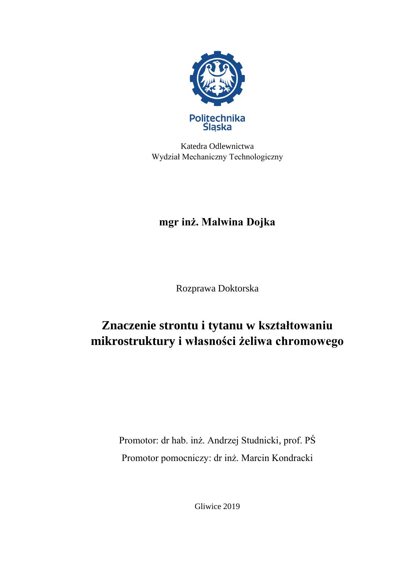

Katedra Odlewnictwa Wydział Mechaniczny Technologiczny

## **mgr inż. Malwina Dojka**

Rozprawa Doktorska

## **Znaczenie strontu i tytanu w kształtowaniu mikrostruktury i własności żeliwa chromowego**

Promotor: dr hab. inż. Andrzej Studnicki, prof. PŚ Promotor pomocniczy: dr inż. Marcin Kondracki

Gliwice 2019